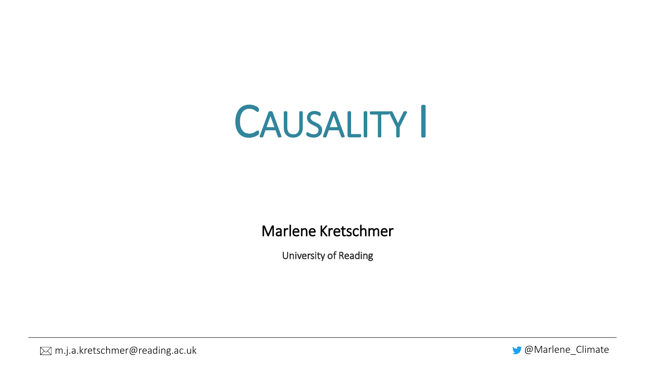

Marlene Kretschmer

University of Reading

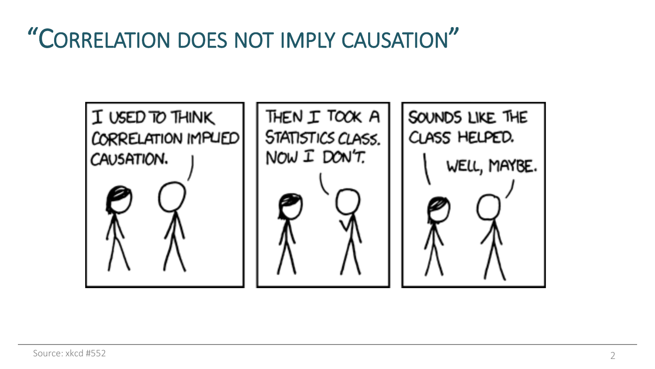## "CORRELATION DOES NOT IMPLY CAUSATION"

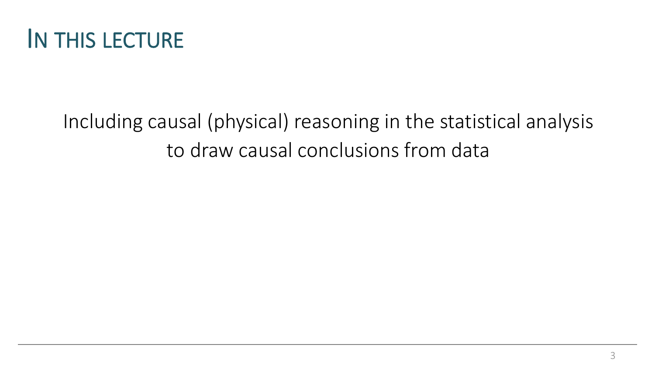

#### Including causal (physical) reasoning in the statistical analysis to draw causal conclusions from data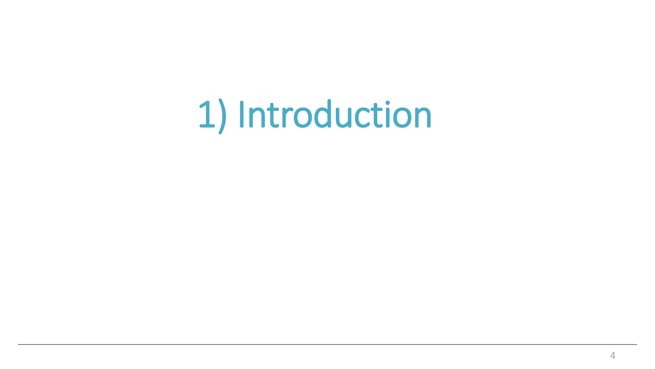# 1) Introduction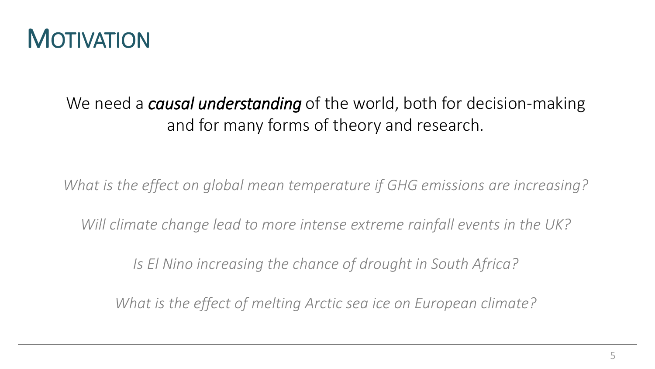

#### We need a *causal understanding* of the world, both for decision-making and for many forms of theory and research.

*What is the effect on global mean temperature if GHG emissions are increasing?*

*Will climate change lead to more intense extreme rainfall events in the UK?* 

*Is El Nino increasing the chance of drought in South Africa?* 

*What is the effect of melting Arctic sea ice on European climate?*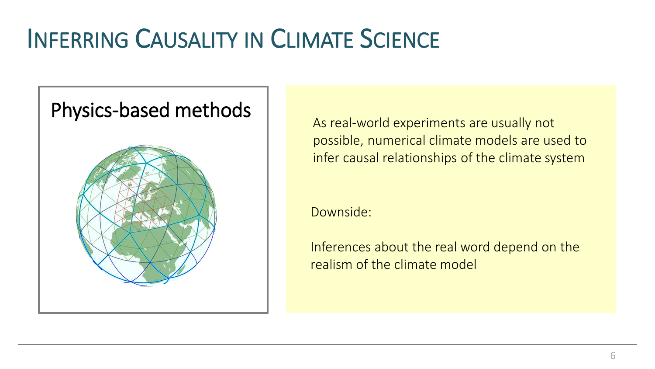# INFERRING CAUSALITY IN CLIMATE SCIENCE



As real-world experiments are usually not possible, numerical climate models are used to infer causal relationships of the climate system

Downside:

Inferences about the real word depend on the realism of the climate model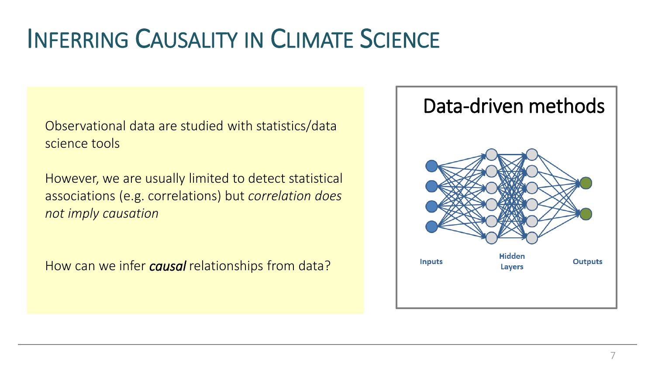## INFERRING CAUSALITY IN CLIMATE SCIENCE

Observational data are studied with statistics/data science tools

However, we are usually limited to detect statistical associations (e.g. correlations) but *correlation does not imply causation*

How can we infer *causal* relationships from data?

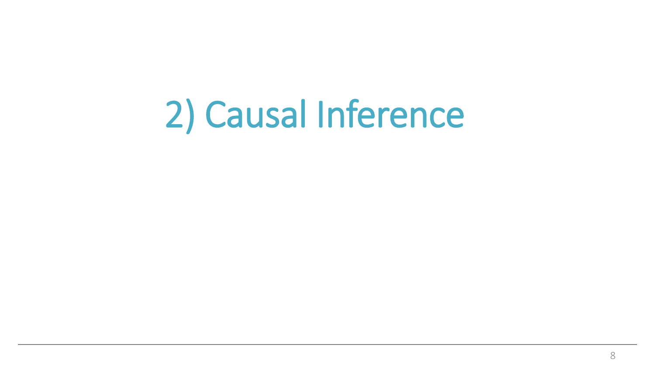# 2) Causal Inference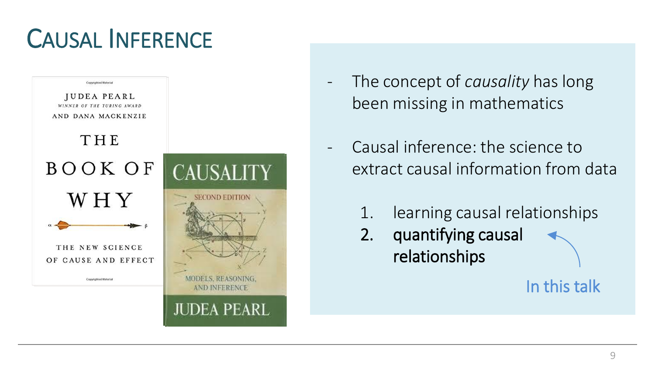## CAUSAL INFERENCE



- The concept of *causality* has long been missing in mathematics
- Causal inference: the science to extract causal information from data
	- 1. learning causal relationships
	- 2. quantifying causal relationships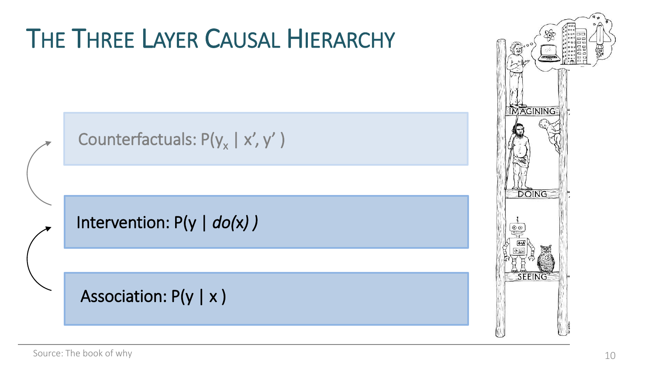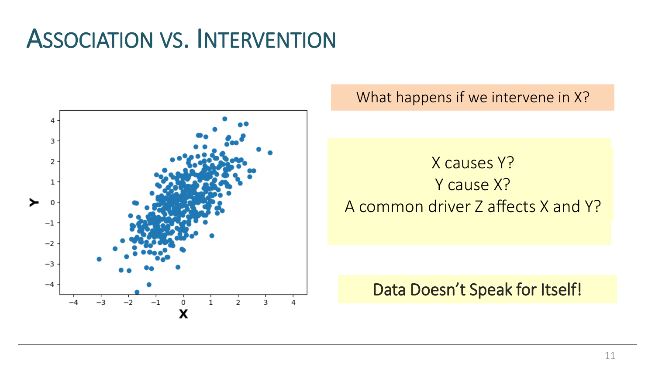

What happens if we intervene in X?

X causes Y? Y cause X? A common driver Z affects X and Y?

#### Data Doesn't Speak for Itself!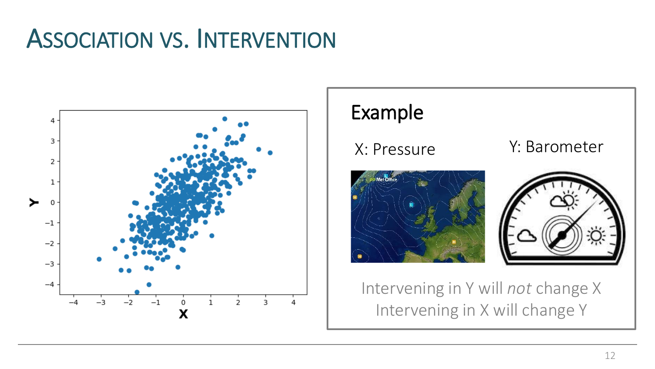

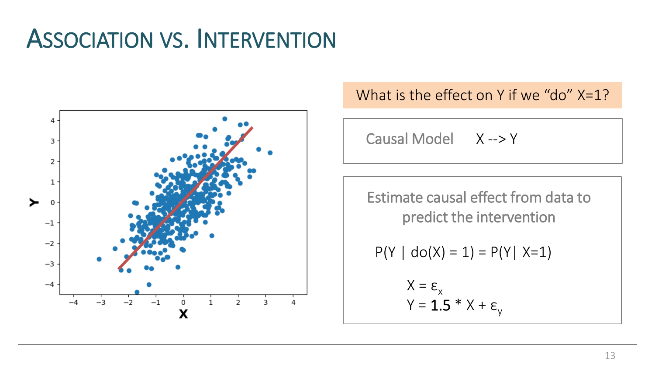

#### What is the effect on Y if we "do" X=1?

Causal Model X --> Y

Estimate causal effect from data to predict the intervention

$$
P(Y | do(X) = 1) = P(Y | X=1)
$$

$$
X = \varepsilon_{x}
$$
  
Y = **1.5** \* X +  $\varepsilon_{y}$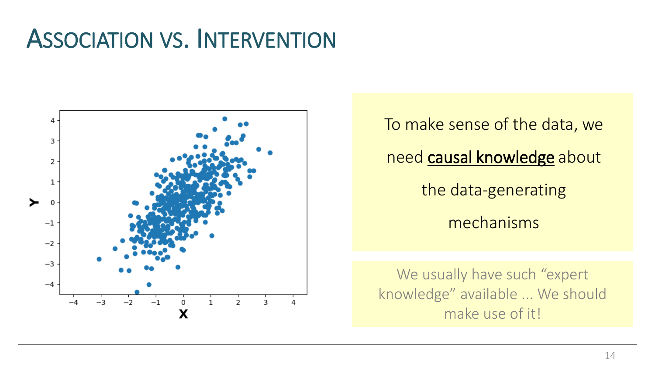

To make sense of the data, we need causal knowledge about the data-generating mechanisms

We usually have such "expert" knowledge" available ... We should make use of it!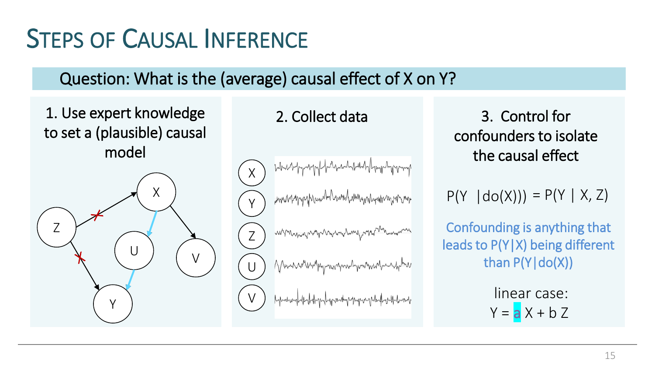# STEPS OF CAUSAL INFERENCE

#### Question: What is the (average) causal effect of X on Y?

#### 1. Use expert knowledge to set a (plausible) causal model



#### X www.hypyphandhamahamanahamaman Y mpompanyannannannyannan Z Verweiterstegnischnitisch-weiter U V

2. Collect data 3. Control for confounders to isolate the causal effect

 $P(Y | do(X))) = P(Y | X, Z)$ 

Confounding is anything that leads to  $P(Y|X)$  being different than  $P(Y|do(X))$ 

> linear case:  $Y = aX + bZ$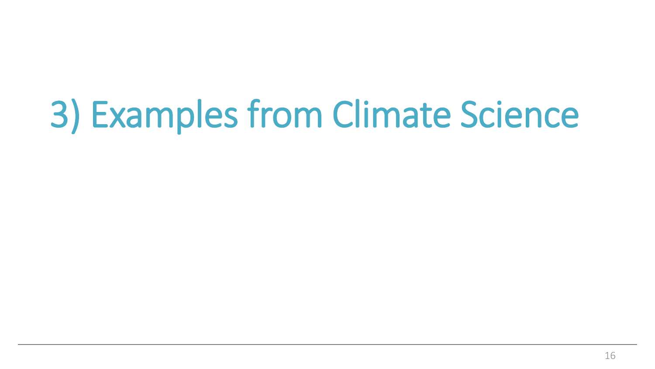# 3) Examples from Climate Science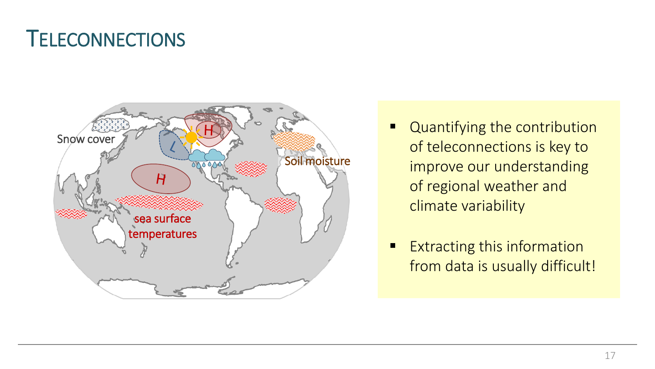#### **TELECONNECTIONS**



- Quantifying the contribution of teleconnections is key to improve our understanding of regional weather and climate variability
- **Extracting this information** from data is usually difficult!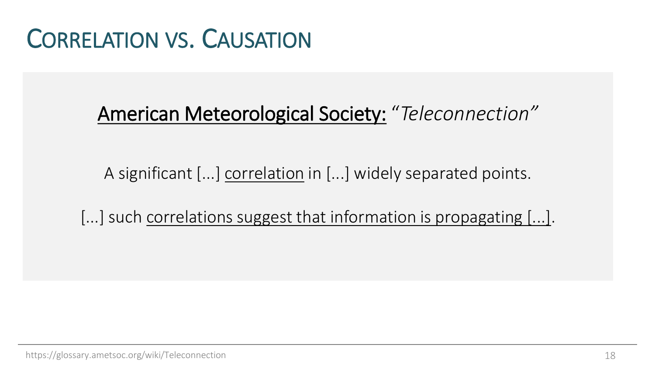#### CORRELATION VS. CAUSATION

#### American Meteorological Society: "*Teleconnection"*

A significant [...] correlation in [...] widely separated points.

[...] such correlations suggest that information is propagating [...].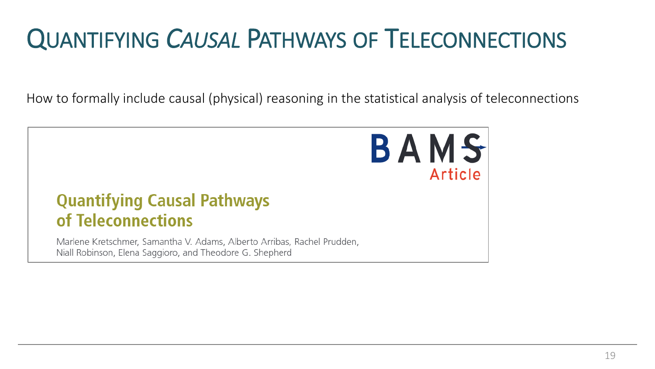# QUANTIFYING *CAUSAL* PATHWAYS OF TELECONNECTIONS

How to formally include causal (physical) reasoning in the statistical analysis of teleconnections

BAMS

Article

# **Quantifying Causal Pathways** of Teleconnections

Marlene Kretschmer, Samantha V. Adams, Alberto Arribas, Rachel Prudden, Niall Robinson, Elena Saggioro, and Theodore G. Shepherd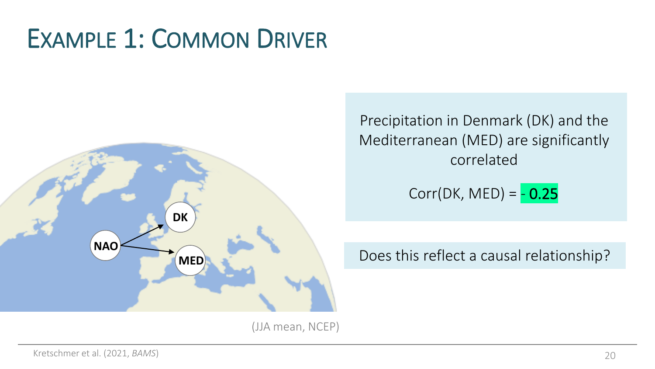

Precipitation in Denmark (DK) and the Mediterranean (MED) are significantly correlated

$$
Corr(DK, MED) = -0.25
$$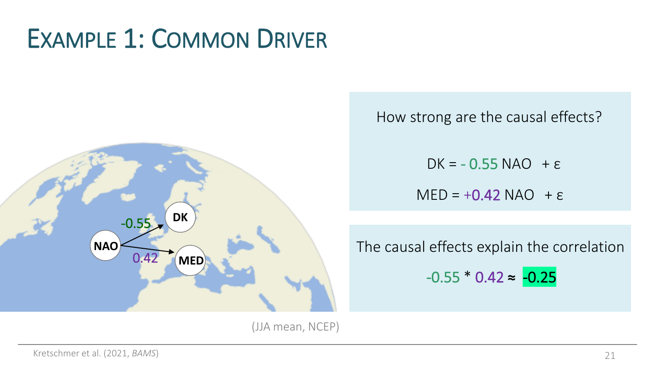

How strong are the causal effects?

DK =  $-0.55$  NAO +  $\varepsilon$  $MED = +0.42 NAO + \epsilon$ 

The causal effects explain the correlation

 $-0.55 * 0.42 \approx -0.25$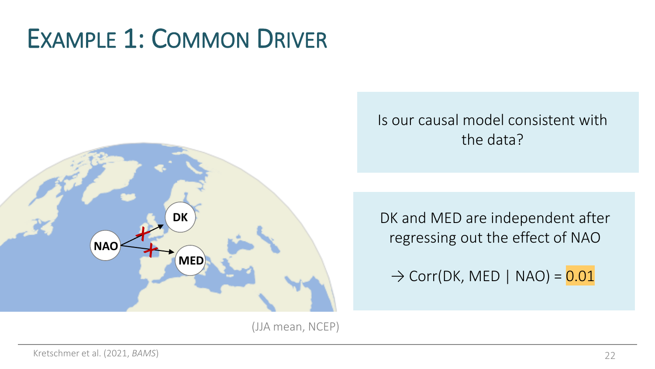

#### Is our causal model consistent with the data?

DK and MED are independent after regressing out the effect of NAO

 $\rightarrow$  Corr(DK, MED | NAO) =  $0.01$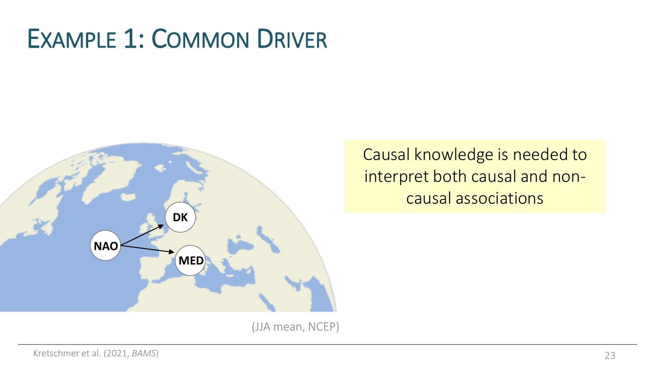

Causal knowledge is needed to interpret both causal and noncausal associations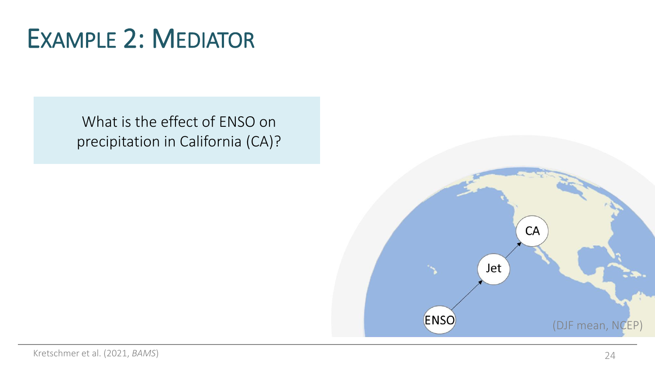What is the effect of ENSO on precipitation in California (CA)?

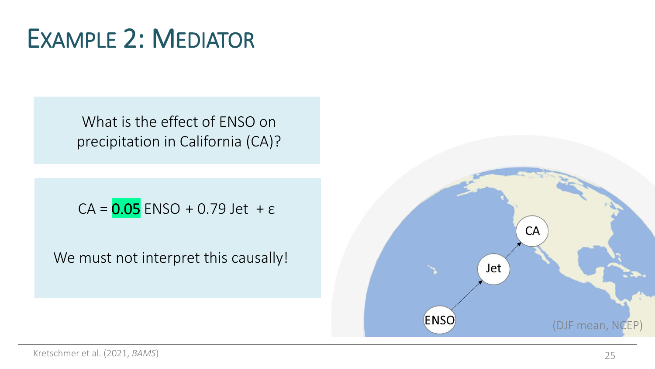What is the effect of ENSO on precipitation in California (CA)?

 $CA = 0.05$  ENSO + 0.79 Jet +  $\varepsilon$ 

We must not interpret this causally!

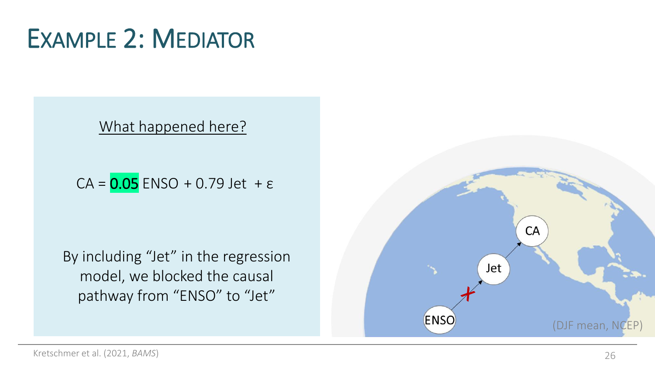What happened here?

 $CA = 0.05$  ENSO + 0.79 Jet +  $\varepsilon$ 

By including "Jet" in the regression model, we blocked the causal pathway from "ENSO" to "Jet"

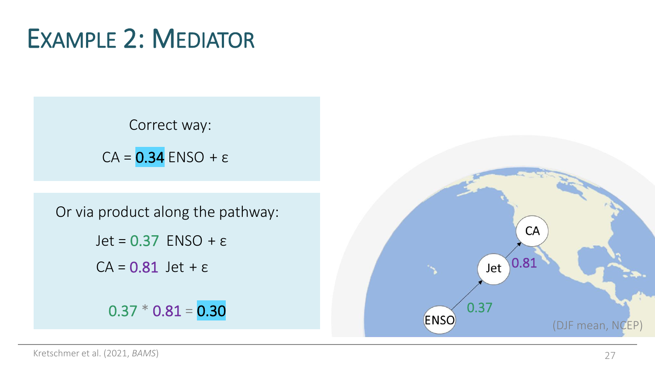$0.37 * 0.81 = 0.30$  $CA = 0.81$  Jet +  $\varepsilon$ Correct way: Jet =  $0.37$  ENSO +  $\varepsilon$  $CA = 0.34$  ENSO +  $\varepsilon$ Or via product along the pathway:

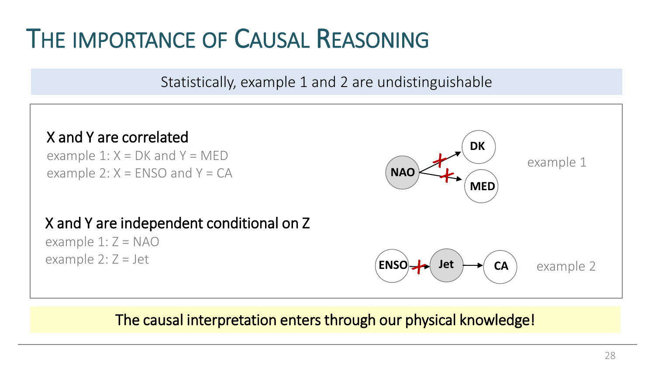#### THE IMPORTANCE OF CAUSAL REASONING

Statistically, example 1 and 2 are undistinguishable

![](_page_27_Figure_2.jpeg)

#### The causal interpretation enters through our physical knowledge!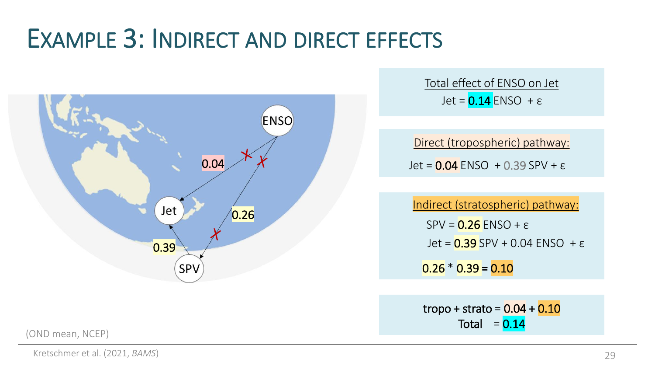#### EXAMPLE 3: INDIRECT AND DIRECT EFFECTS

![](_page_28_Figure_1.jpeg)

(OND mean, NCEP)

Jet =  $0.14$  ENSO +  $\varepsilon$ Total effect of ENSO on Jet

Jet =  $0.04$  ENSO + 0.39 SPV +  $\varepsilon$ Direct (tropospheric) pathway:

 $SPV = 0.26$  ENSO +  $\varepsilon$  $0.26 * 0.39 = 0.10$ Indirect (stratospheric) pathway: Jet =  $0.39$  SPV + 0.04 ENSO +  $\varepsilon$ 

tropo + strato =  $0.04 + 0.10$ Total  $= 0.14$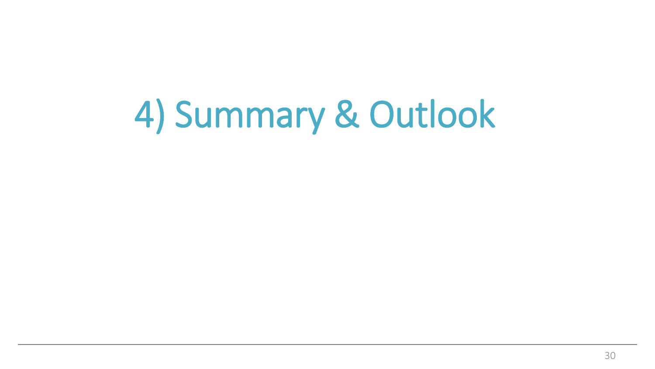4) Summary & Outlook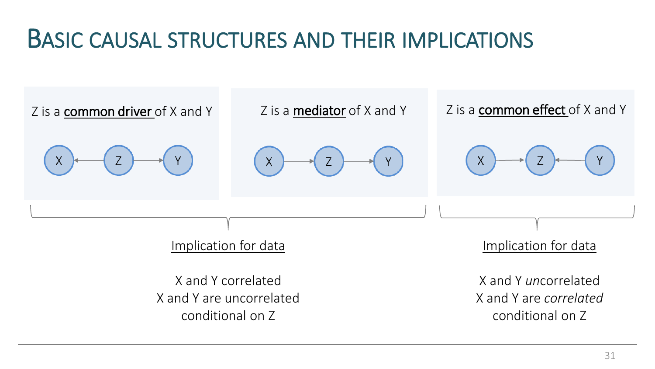#### BASIC CAUSAL STRUCTURES AND THEIR IMPLICATIONS

![](_page_30_Figure_1.jpeg)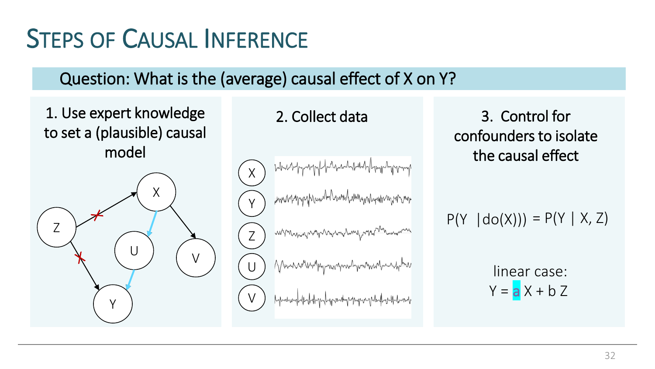# **STEPS OF CAUSAL INFERENCE**

#### Question: What is the (average) causal effect of X on Y?

1. Use expert knowledge to set a (plausible) causal model

![](_page_31_Figure_3.jpeg)

X Y Z U V

2. Collect data 3. Control for confounders to isolate the causal effect

 $P(Y | do(X))) = P(Y | X, Z)$ 

linear case:  $Y = aX + bZ$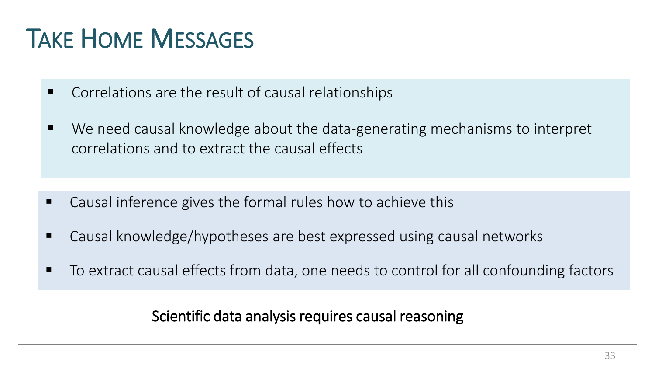### TAKE HOME MESSAGES

- Correlations are the result of causal relationships
- We need causal knowledge about the data-generating mechanisms to interpret correlations and to extract the causal effects

- Causal inference gives the formal rules how to achieve this
- Causal knowledge/hypotheses are best expressed using causal networks
- To extract causal effects from data, one needs to control for all confounding factors

#### Scientific data analysis requires causal reasoning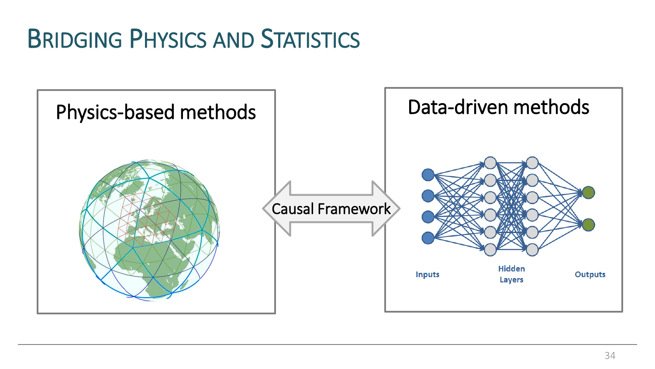### BRIDGING PHYSICS AND STATISTICS

![](_page_33_Figure_1.jpeg)